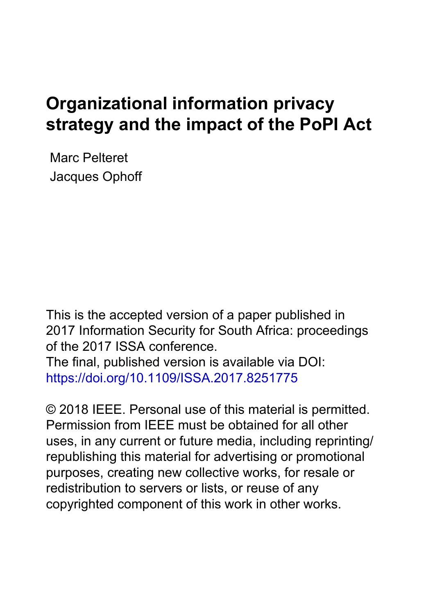# **Organizational information privacy strategy and the impact of the PoPI Act**

Marc Pelteret Jacques Ophoff

This is the accepted version of a paper published in 2017 Information Security for South Africa: proceedings of the 2017 ISSA conference.

The final, published version is available via DOI: <https://doi.org/10.1109/ISSA.2017.8251775>

© 2018 IEEE. Personal use of this material is permitted. Permission from IEEE must be obtained for all other uses, in any current or future media, including reprinting/ republishing this material for advertising or promotional purposes, creating new collective works, for resale or redistribution to servers or lists, or reuse of any copyrighted component of this work in other works.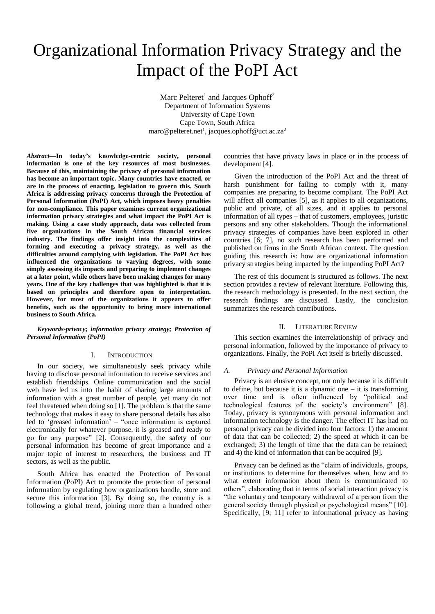## Organizational Information Privacy Strategy and the Impact of the PoPI Act

Marc Pelteret<sup>1</sup> and Jacques Ophoff<sup>2</sup> Department of Information Systems University of Cape Town Cape Town, South Africa marc@pelteret.net<sup>1</sup>, jacques.ophoff@uct.ac.za<sup>2</sup>

*Abstract***—In today's knowledge-centric society, personal information is one of the key resources of most businesses. Because of this, maintaining the privacy of personal information has become an important topic. Many countries have enacted, or are in the process of enacting, legislation to govern this. South Africa is addressing privacy concerns through the Protection of Personal Information (PoPI) Act, which imposes heavy penalties for non-compliance. This paper examines current organizational information privacy strategies and what impact the PoPI Act is making. Using a case study approach, data was collected from five organizations in the South African financial services industry. The findings offer insight into the complexities of forming and executing a privacy strategy, as well as the difficulties around complying with legislation. The PoPI Act has influenced the organizations to varying degrees, with some simply assessing its impacts and preparing to implement changes at a later point, while others have been making changes for many years. One of the key challenges that was highlighted is that it is based on principles and therefore open to interpretation. However, for most of the organizations it appears to offer benefits, such as the opportunity to bring more international business to South Africa.**

*Keywords-privacy; information privacy strategy; Protection of Personal Information (PoPI)*

#### I. INTRODUCTION

In our society, we simultaneously seek privacy while having to disclose personal information to receive services and establish friendships. Online communication and the social web have led us into the habit of sharing large amounts of information with a great number of people, yet many do not feel threatened when doing so [1]. The problem is that the same technology that makes it easy to share personal details has also led to 'greased information' – "once information is captured electronically for whatever purpose, it is greased and ready to go for any purpose" [2]. Consequently, the safety of our personal information has become of great importance and a major topic of interest to researchers, the business and IT sectors, as well as the public.

South Africa has enacted the Protection of Personal Information (PoPI) Act to promote the protection of personal information by regulating how organizations handle, store and secure this information [3]. By doing so, the country is a following a global trend, joining more than a hundred other countries that have privacy laws in place or in the process of development [4].

Given the introduction of the PoPI Act and the threat of harsh punishment for failing to comply with it, many companies are preparing to become compliant. The PoPI Act will affect all companies [5], as it applies to all organizations, public and private, of all sizes, and it applies to personal information of all types – that of customers, employees, juristic persons and any other stakeholders. Though the informational privacy strategies of companies have been explored in other countries [6; 7], no such research has been performed and published on firms in the South African context. The question guiding this research is: how are organizational information privacy strategies being impacted by the impending PoPI Act?

The rest of this document is structured as follows. The next section provides a review of relevant literature. Following this, the research methodology is presented. In the next section, the research findings are discussed. Lastly, the conclusion summarizes the research contributions.

### II. LITERATURE REVIEW

This section examines the interrelationship of privacy and personal information, followed by the importance of privacy to organizations. Finally, the PoPI Act itself is briefly discussed.

## *A. Privacy and Personal Information*

Privacy is an elusive concept, not only because it is difficult to define, but because it is a dynamic one – it is transforming over time and is often influenced by "political and technological features of the society's environment" [8]. Today, privacy is synonymous with personal information and information technology is the danger. The effect IT has had on personal privacy can be divided into four factors: 1) the amount of data that can be collected; 2) the speed at which it can be exchanged; 3) the length of time that the data can be retained; and 4) the kind of information that can be acquired [9].

Privacy can be defined as the "claim of individuals, groups, or institutions to determine for themselves when, how and to what extent information about them is communicated to others", elaborating that in terms of social interaction privacy is "the voluntary and temporary withdrawal of a person from the general society through physical or psychological means" [10]. Specifically, [9; 11] refer to informational privacy as having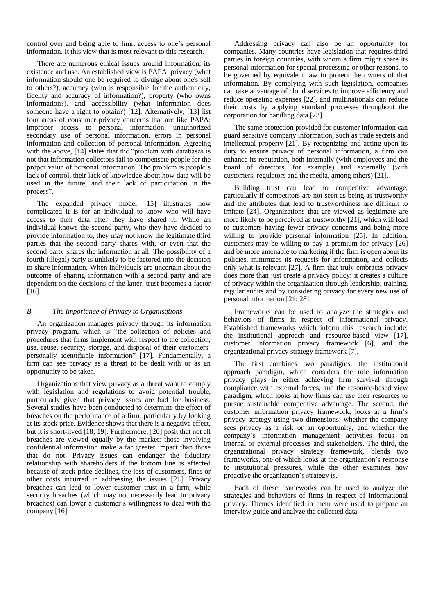control over and being able to limit access to one's personal information. It this view that is most relevant to this research.

There are numerous ethical issues around information, its existence and use. An established view is PAPA: privacy (what information should one be required to divulge about one's self to others?), accuracy (who is responsible for the authenticity, fidelity and accuracy of information?), property (who owns information?), and accessibility (what information does someone have a right to obtain?) [12]. Alternatively, [13] list four areas of consumer privacy concerns that are like PAPA: improper access to personal information, unauthorized secondary use of personal information, errors in personal information and collection of personal information. Agreeing with the above, [14] states that the "problem with databases is not that information collectors fail to compensate people for the proper value of personal information. The problem is people's lack of control, their lack of knowledge about how data will be used in the future, and their lack of participation in the process".

The expanded privacy model [15] illustrates how complicated it is for an individual to know who will have access to their data after they have shared it. While an individual knows the second party, who they have decided to provide information to, they may not know the legitimate third parties that the second party shares with, or even that the second party shares the information at all. The possibility of a fourth (illegal) party is unlikely to be factored into the decision to share information. When individuals are uncertain about the outcome of sharing information with a second party and are dependent on the decisions of the latter, trust becomes a factor [16].

## *B. The Importance of Privacy to Organisations*

An organization manages privacy through its information privacy program, which is "the collection of policies and procedures that firms implement with respect to the collection, use, reuse, security, storage, and disposal of their customers' personally identifiable information" [17]. Fundamentally, a firm can see privacy as a threat to be dealt with or as an opportunity to be taken.

Organizations that view privacy as a threat want to comply with legislation and regulations to avoid potential trouble, particularly given that privacy issues are bad for business. Several studies have been conducted to determine the effect of breaches on the performance of a firm, particularly by looking at its stock price. Evidence shows that there is a negative effect, but it is short-lived [18; 19]. Furthermore, [20] posit that not all breaches are viewed equally by the market: those involving confidential information make a far greater impact than those that do not. Privacy issues can endanger the fiduciary relationship with shareholders if the bottom line is affected because of stock price declines, the loss of customers, fines or other costs incurred in addressing the issues [21]. Privacy breaches can lead to lower customer trust in a firm, while security breaches (which may not necessarily lead to privacy breaches) can lower a customer's willingness to deal with the company [16].

Addressing privacy can also be an opportunity for companies. Many countries have legislation that requires third parties in foreign countries, with whom a firm might share its personal information for special processing or other reasons, to be governed by equivalent law to protect the owners of that information. By complying with such legislation, companies can take advantage of cloud services to improve efficiency and reduce operating expenses [22], and multinationals can reduce their costs by applying standard processes throughout the corporation for handling data [23].

The same protection provided for customer information can guard sensitive company information, such as trade secrets and intellectual property [21]. By recognizing and acting upon its duty to ensure privacy of personal information, a firm can enhance its reputation, both internally (with employees and the board of directors, for example) and externally (with customers, regulators and the media, among others) [21].

Building trust can lead to competitive advantage, particularly if competitors are not seen as being as trustworthy and the attributes that lead to trustworthiness are difficult to imitate [24]. Organizations that are viewed as legitimate are more likely to be perceived as trustworthy [21], which will lead to customers having fewer privacy concerns and being more willing to provide personal information [25]. In addition, customers may be willing to pay a premium for privacy [26] and be more amenable to marketing if the firm is open about its policies, minimizes its requests for information, and collects only what is relevant [27]. A firm that truly embraces privacy does more than just create a privacy policy: it creates a culture of privacy within the organization through leadership, training, regular audits and by considering privacy for every new use of personal information [21; 28].

Frameworks can be used to analyze the strategies and behaviors of firms in respect of informational privacy. Established frameworks which inform this research include: the institutional approach and resource-based view [17], customer information privacy framework [6], and the organizational privacy strategy framework [7].

The first combines two paradigms: the institutional approach paradigm, which considers the role information privacy plays in either achieving firm survival through compliance with external forces, and the resource-based view paradigm, which looks at how firms can use their resources to pursue sustainable competitive advantage. The second, the customer information privacy framework, looks at a firm's privacy strategy using two dimensions: whether the company sees privacy as a risk or an opportunity, and whether the company's information management activities focus on internal or external processes and stakeholders. The third, the organizational privacy strategy framework, blends two frameworks, one of which looks at the organization's response to institutional pressures, while the other examines how proactive the organization's strategy is.

Each of these frameworks can be used to analyze the strategies and behaviors of firms in respect of informational privacy. Themes identified in them were used to prepare an interview guide and analyze the collected data.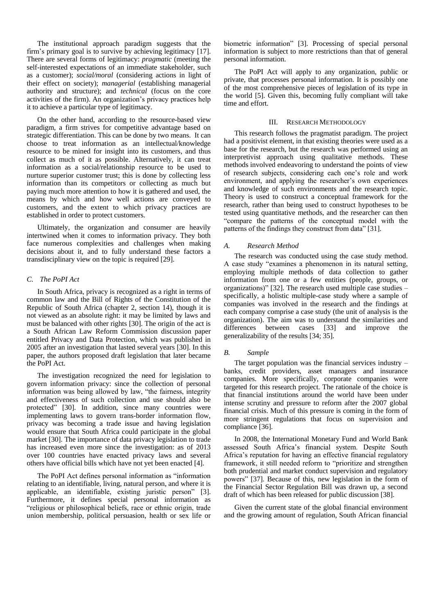The institutional approach paradigm suggests that the firm's primary goal is to survive by achieving legitimacy [17]. There are several forms of legitimacy: *pragmatic* (meeting the self-interested expectations of an immediate stakeholder, such as a customer); *social/moral* (considering actions in light of their effect on society); *managerial* (establishing managerial authority and structure); and *technical* (focus on the core activities of the firm). An organization's privacy practices help it to achieve a particular type of legitimacy.

On the other hand, according to the resource-based view paradigm, a firm strives for competitive advantage based on strategic differentiation. This can be done by two means. It can choose to treat information as an intellectual/knowledge resource to be mined for insight into its customers, and thus collect as much of it as possible. Alternatively, it can treat information as a social/relationship resource to be used to nurture superior customer trust; this is done by collecting less information than its competitors or collecting as much but paying much more attention to how it is gathered and used, the means by which and how well actions are conveyed to customers, and the extent to which privacy practices are established in order to protect customers.

Ultimately, the organization and consumer are heavily intertwined when it comes to information privacy. They both face numerous complexities and challenges when making decisions about it, and to fully understand these factors a transdisciplinary view on the topic is required [29].

## *C. The PoPI Act*

In South Africa, privacy is recognized as a right in terms of common law and the Bill of Rights of the Constitution of the Republic of South Africa (chapter 2, section 14), though it is not viewed as an absolute right: it may be limited by laws and must be balanced with other rights [30]. The origin of the act is a South African Law Reform Commission discussion paper entitled Privacy and Data Protection, which was published in 2005 after an investigation that lasted several years [30]. In this paper, the authors proposed draft legislation that later became the PoPI Act.

The investigation recognized the need for legislation to govern information privacy: since the collection of personal information was being allowed by law, "the fairness, integrity and effectiveness of such collection and use should also be protected" [30]. In addition, since many countries were implementing laws to govern trans-border information flow, privacy was becoming a trade issue and having legislation would ensure that South Africa could participate in the global market [30]. The importance of data privacy legislation to trade has increased even more since the investigation: as of 2013 over 100 countries have enacted privacy laws and several others have official bills which have not yet been enacted [4].

The PoPI Act defines personal information as "information relating to an identifiable, living, natural person, and where it is applicable, an identifiable, existing juristic person" [3]. Furthermore, it defines special personal information as "religious or philosophical beliefs, race or ethnic origin, trade union membership, political persuasion, health or sex life or

biometric information" [3]. Processing of special personal information is subject to more restrictions than that of general personal information.

The PoPI Act will apply to any organization, public or private, that processes personal information. It is possibly one of the most comprehensive pieces of legislation of its type in the world [5]. Given this, becoming fully compliant will take time and effort.

#### III. RESEARCH METHODOLOGY

This research follows the pragmatist paradigm. The project had a positivist element, in that existing theories were used as a base for the research, but the research was performed using an interpretivist approach using qualitative methods. These methods involved endeavoring to understand the points of view of research subjects, considering each one's role and work environment, and applying the researcher's own experiences and knowledge of such environments and the research topic. Theory is used to construct a conceptual framework for the research, rather than being used to construct hypotheses to be tested using quantitative methods, and the researcher can then "compare the patterns of the conceptual model with the patterns of the findings they construct from data" [31].

#### *A. Research Method*

The research was conducted using the case study method. A case study "examines a phenomenon in its natural setting, employing multiple methods of data collection to gather information from one or a few entities (people, groups, or organizations)" [32]. The research used multiple case studies – specifically, a holistic multiple-case study where a sample of companies was involved in the research and the findings at each company comprise a case study (the unit of analysis is the organization). The aim was to understand the similarities and differences between cases [33] and improve the generalizability of the results [34; 35].

#### *B. Sample*

The target population was the financial services industry – banks, credit providers, asset managers and insurance companies. More specifically, corporate companies were targeted for this research project. The rationale of the choice is that financial institutions around the world have been under intense scrutiny and pressure to reform after the 2007 global financial crisis. Much of this pressure is coming in the form of more stringent regulations that focus on supervision and compliance [36].

In 2008, the International Monetary Fund and World Bank assessed South Africa's financial system. Despite South Africa's reputation for having an effective financial regulatory framework, it still needed reform to "prioritize and strengthen both prudential and market conduct supervision and regulatory powers" [37]. Because of this, new legislation in the form of the Financial Sector Regulation Bill was drawn up, a second draft of which has been released for public discussion [38].

Given the current state of the global financial environment and the growing amount of regulation, South African financial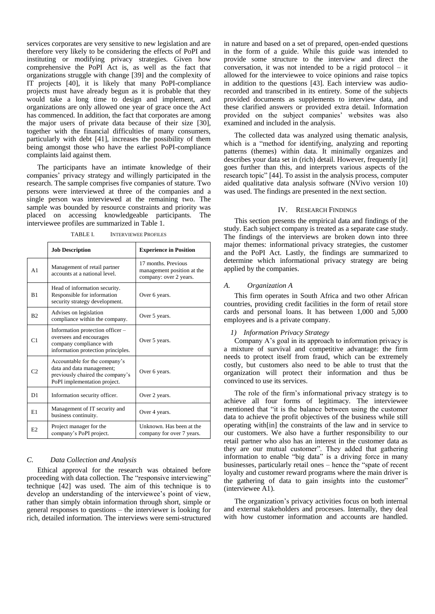services corporates are very sensitive to new legislation and are therefore very likely to be considering the effects of PoPI and instituting or modifying privacy strategies. Given how comprehensive the PoPI Act is, as well as the fact that organizations struggle with change [39] and the complexity of IT projects [40], it is likely that many PoPI-compliance projects must have already begun as it is probable that they would take a long time to design and implement, and organizations are only allowed one year of grace once the Act has commenced. In addition, the fact that corporates are among the major users of private data because of their size [30], together with the financial difficulties of many consumers, particularly with debt [41], increases the possibility of them being amongst those who have the earliest PoPI-compliance complaints laid against them.

The participants have an intimate knowledge of their companies' privacy strategy and willingly participated in the research. The sample comprises five companies of stature. Two persons were interviewed at three of the companies and a single person was interviewed at the remaining two. The sample was bounded by resource constraints and priority was placed on accessing knowledgeable participants. The interviewee profiles are summarized in Table 1.

|                | <b>Job Description</b>                                                                                                         | <b>Experience in Position</b>                                               |
|----------------|--------------------------------------------------------------------------------------------------------------------------------|-----------------------------------------------------------------------------|
| A <sub>1</sub> | Management of retail partner<br>accounts at a national level.                                                                  | 17 months. Previous<br>management position at the<br>company: over 2 years. |
| B <sub>1</sub> | Head of information security.<br>Responsible for information<br>security strategy development.                                 | Over 6 years.                                                               |
| B <sub>2</sub> | Advises on legislation<br>compliance within the company.                                                                       | Over 5 years.                                                               |
| C <sub>1</sub> | Information protection officer –<br>oversees and encourages<br>company compliance with<br>information protection principles.   | Over 5 years.                                                               |
| C <sub>2</sub> | Accountable for the company's<br>data and data management;<br>previously chaired the company's<br>PoPI implementation project. | Over 6 years.                                                               |
| D <sub>1</sub> | Information security officer.                                                                                                  | Over 2 years.                                                               |
| E1             | Management of IT security and<br>business continuity.                                                                          | Over 4 years.                                                               |
| E2             | Project manager for the<br>company's PoPI project.                                                                             | Unknown. Has been at the<br>company for over 7 years.                       |

TABLE I. INTERVIEWEE PROFILES

#### *C. Data Collection and Analysis*

Ethical approval for the research was obtained before proceeding with data collection. The "responsive interviewing" technique [42] was used. The aim of this technique is to develop an understanding of the interviewee's point of view, rather than simply obtain information through short, simple or general responses to questions – the interviewer is looking for rich, detailed information. The interviews were semi-structured in nature and based on a set of prepared, open-ended questions in the form of a guide. While this guide was intended to provide some structure to the interview and direct the conversation, it was not intended to be a rigid protocol – it allowed for the interviewee to voice opinions and raise topics in addition to the questions [43]. Each interview was audiorecorded and transcribed in its entirety. Some of the subjects provided documents as supplements to interview data, and these clarified answers or provided extra detail. Information provided on the subject companies' websites was also examined and included in the analysis.

The collected data was analyzed using thematic analysis, which is a "method for identifying, analyzing and reporting patterns (themes) within data. It minimally organizes and describes your data set in (rich) detail. However, frequently [it] goes further than this, and interprets various aspects of the research topic" [44]. To assist in the analysis process, computer aided qualitative data analysis software (NVivo version 10) was used. The findings are presented in the next section.

#### IV. RESEARCH FINDINGS

This section presents the empirical data and findings of the study. Each subject company is treated as a separate case study. The findings of the interviews are broken down into three major themes: informational privacy strategies, the customer and the PoPI Act. Lastly, the findings are summarized to determine which informational privacy strategy are being applied by the companies.

#### *A. Organization A*

This firm operates in South Africa and two other African countries, providing credit facilities in the form of retail store cards and personal loans. It has between 1,000 and 5,000 employees and is a private company.

## *1) Information Privacy Strategy*

Company A's goal in its approach to information privacy is a mixture of survival and competitive advantage: the firm needs to protect itself from fraud, which can be extremely costly, but customers also need to be able to trust that the organization will protect their information and thus be convinced to use its services.

The role of the firm's informational privacy strategy is to achieve all four forms of legitimacy. The interviewee mentioned that "it is the balance between using the customer data to achieve the profit objectives of the business while still operating with[in] the constraints of the law and in service to our customers. We also have a further responsibility to our retail partner who also has an interest in the customer data as they are our mutual customer". They added that gathering information to enable "big data" is a driving force in many businesses, particularly retail ones – hence the "spate of recent loyalty and customer reward programs where the main driver is the gathering of data to gain insights into the customer" (interviewee A1).

The organization's privacy activities focus on both internal and external stakeholders and processes. Internally, they deal with how customer information and accounts are handled.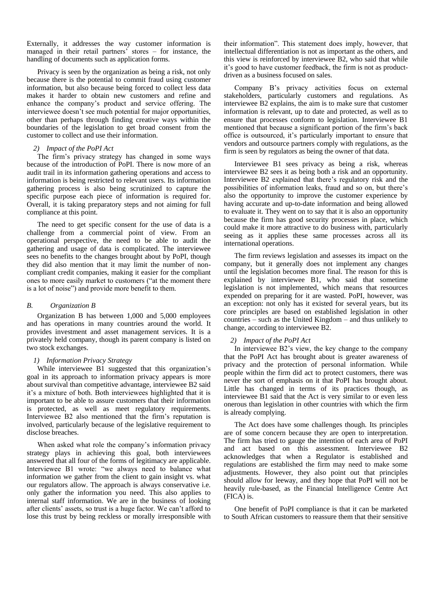Externally, it addresses the way customer information is managed in their retail partners' stores – for instance, the handling of documents such as application forms.

Privacy is seen by the organization as being a risk, not only because there is the potential to commit fraud using customer information, but also because being forced to collect less data makes it harder to obtain new customers and refine and enhance the company's product and service offering. The interviewee doesn't see much potential for major opportunities, other than perhaps through finding creative ways within the boundaries of the legislation to get broad consent from the customer to collect and use their information.

## *2) Impact of the PoPI Act*

The firm's privacy strategy has changed in some ways because of the introduction of PoPI. There is now more of an audit trail in its information gathering operations and access to information is being restricted to relevant users. Its information gathering process is also being scrutinized to capture the specific purpose each piece of information is required for. Overall, it is taking preparatory steps and not aiming for full compliance at this point.

The need to get specific consent for the use of data is a challenge from a commercial point of view. From an operational perspective, the need to be able to audit the gathering and usage of data is complicated. The interviewee sees no benefits to the changes brought about by PoPI, though they did also mention that it may limit the number of noncompliant credit companies, making it easier for the compliant ones to more easily market to customers ("at the moment there is a lot of noise") and provide more benefit to them.

#### *B. Organization B*

Organization B has between 1,000 and 5,000 employees and has operations in many countries around the world. It provides investment and asset management services. It is a privately held company, though its parent company is listed on two stock exchanges.

## *1) Information Privacy Strategy*

While interviewee B1 suggested that this organization's goal in its approach to information privacy appears is more about survival than competitive advantage, interviewee B2 said it's a mixture of both. Both interviewees highlighted that it is important to be able to assure customers that their information is protected, as well as meet regulatory requirements. Interviewee B2 also mentioned that the firm's reputation is involved, particularly because of the legislative requirement to disclose breaches.

When asked what role the company's information privacy strategy plays in achieving this goal, both interviewees answered that all four of the forms of legitimacy are applicable. Interviewee B1 wrote: "we always need to balance what information we gather from the client to gain insight vs. what our regulators allow. The approach is always conservative i.e. only gather the information you need. This also applies to internal staff information. We are in the business of looking after clients' assets, so trust is a huge factor. We can't afford to lose this trust by being reckless or morally irresponsible with

their information". This statement does imply, however, that intellectual differentiation is not as important as the others, and this view is reinforced by interviewee B2, who said that while it's good to have customer feedback, the firm is not as productdriven as a business focused on sales.

Company B's privacy activities focus on external stakeholders, particularly customers and regulations. As interviewee B2 explains, the aim is to make sure that customer information is relevant, up to date and protected, as well as to ensure that processes conform to legislation. Interviewee B1 mentioned that because a significant portion of the firm's back office is outsourced, it's particularly important to ensure that vendors and outsource partners comply with regulations, as the firm is seen by regulators as being the owner of that data.

Interviewee B1 sees privacy as being a risk, whereas interviewee B2 sees it as being both a risk and an opportunity. Interviewee B2 explained that there's regulatory risk and the possibilities of information leaks, fraud and so on, but there's also the opportunity to improve the customer experience by having accurate and up-to-date information and being allowed to evaluate it. They went on to say that it is also an opportunity because the firm has good security processes in place, which could make it more attractive to do business with, particularly seeing as it applies these same processes across all its international operations.

The firm reviews legislation and assesses its impact on the company, but it generally does not implement any changes until the legislation becomes more final. The reason for this is explained by interviewee B1, who said that sometime legislation is not implemented, which means that resources expended on preparing for it are wasted. PoPI, however, was an exception: not only has it existed for several years, but its core principles are based on established legislation in other countries – such as the United Kingdom – and thus unlikely to change, according to interviewee B2.

#### *2) Impact of the PoPI Act*

In interviewee B2's view, the key change to the company that the PoPI Act has brought about is greater awareness of privacy and the protection of personal information. While people within the firm did act to protect customers, there was never the sort of emphasis on it that PoPI has brought about. Little has changed in terms of its practices though, as interviewee B1 said that the Act is very similar to or even less onerous than legislation in other countries with which the firm is already complying.

The Act does have some challenges though. Its principles are of some concern because they are open to interpretation. The firm has tried to gauge the intention of each area of PoPI and act based on this assessment. Interviewee B2 acknowledges that when a Regulator is established and regulations are established the firm may need to make some adjustments. However, they also point out that principles should allow for leeway, and they hope that PoPI will not be heavily rule-based, as the Financial Intelligence Centre Act (FICA) is.

One benefit of PoPI compliance is that it can be marketed to South African customers to reassure them that their sensitive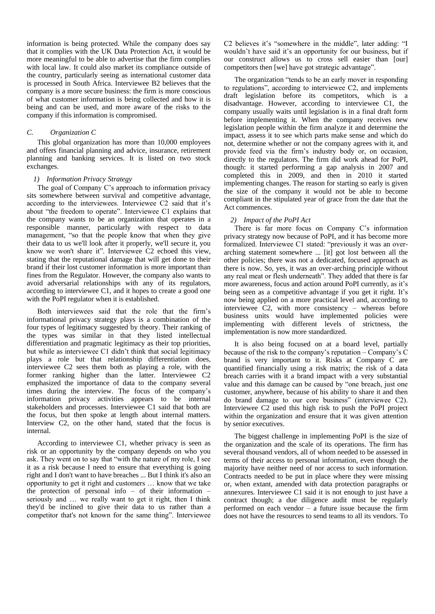information is being protected. While the company does say that it complies with the UK Data Protection Act, it would be more meaningful to be able to advertise that the firm complies with local law. It could also market its compliance outside of the country, particularly seeing as international customer data is processed in South Africa. Interviewee B2 believes that the company is a more secure business: the firm is more conscious of what customer information is being collected and how it is being and can be used, and more aware of the risks to the company if this information is compromised.

## *C. Organization C*

This global organization has more than 10,000 employees and offers financial planning and advice, insurance, retirement planning and banking services. It is listed on two stock exchanges.

## *1) Information Privacy Strategy*

The goal of Company C's approach to information privacy sits somewhere between survival and competitive advantage, according to the interviewees. Interviewee C2 said that it's about "the freedom to operate". Interviewee C1 explains that the company wants to be an organization that operates in a responsible manner, particularly with respect to data management, "so that the people know that when they give their data to us we'll look after it properly, we'll secure it, you know we won't share it". Interviewee C2 echoed this view, stating that the reputational damage that will get done to their brand if their lost customer information is more important than fines from the Regulator. However, the company also wants to avoid adversarial relationships with any of its regulators, according to interviewee C1, and it hopes to create a good one with the PoPI regulator when it is established.

Both interviewees said that the role that the firm's informational privacy strategy plays is a combination of the four types of legitimacy suggested by theory. Their ranking of the types was similar in that they listed intellectual differentiation and pragmatic legitimacy as their top priorities, but while as interviewee C1 didn't think that social legitimacy plays a role but that relationship differentiation does, interviewee C2 sees them both as playing a role, with the former ranking higher than the latter. Interviewee C2 emphasized the importance of data to the company several times during the interview. The focus of the company's information privacy activities appears to be internal stakeholders and processes. Interviewee C1 said that both are the focus, but then spoke at length about internal matters. Interview C2, on the other hand, stated that the focus is internal.

According to interviewee C1, whether privacy is seen as risk or an opportunity by the company depends on who you ask. They went on to say that "with the nature of my role, I see it as a risk because I need to ensure that everything is going right and I don't want to have breaches ... But I think it's also an opportunity to get it right and customers … know that we take the protection of personal info – of their information – seriously and … we really want to get it right, then I think they'd be inclined to give their data to us rather than a competitor that's not known for the same thing". Interviewee C2 believes it's "somewhere in the middle", later adding: "I wouldn't have said it's an opportunity for our business, but if our construct allows us to cross sell easier than [our] competitors then [we] have got strategic advantage".

The organization "tends to be an early mover in responding to regulations", according to interviewee C2, and implements draft legislation before its competitors, which is a disadvantage. However, according to interviewee C1, the company usually waits until legislation is in a final draft form before implementing it. When the company receives new legislation people within the firm analyze it and determine the impact, assess it to see which parts make sense and which do not, determine whether or not the company agrees with it, and provide feed via the firm's industry body or, on occasion, directly to the regulators. The firm did work ahead for PoPI, though: it started performing a gap analysis in 2007 and completed this in 2009, and then in 2010 it started implementing changes. The reason for starting so early is given the size of the company it would not be able to become compliant in the stipulated year of grace from the date that the Act commences.

#### *2) Impact of the PoPI Act*

There is far more focus on Company C's information privacy strategy now because of PoPI, and it has become more formalized. Interviewee C1 stated: "previously it was an overarching statement somewhere ... [it] got lost between all the other policies; there was not a dedicated, focused approach as there is now. So, yes, it was an over-arching principle without any real meat or flesh underneath". They added that there is far more awareness, focus and action around PoPI currently, as it's being seen as a competitive advantage if you get it right. It's now being applied on a more practical level and, according to interviewee C2, with more consistency – whereas before business units would have implemented policies were implementing with different levels of strictness, the implementation is now more standardized.

It is also being focused on at a board level, partially because of the risk to the company's reputation – Company's C brand is very important to it. Risks at Company C are quantified financially using a risk matrix; the risk of a data breach carries with it a brand impact with a very substantial value and this damage can be caused by "one breach, just one customer, anywhere, because of his ability to share it and then do brand damage to our core business" (interviewee C2). Interviewee C2 used this high risk to push the PoPI project within the organization and ensure that it was given attention by senior executives.

The biggest challenge in implementing PoPI is the size of the organization and the scale of its operations. The firm has several thousand vendors, all of whom needed to be assessed in terms of their access to personal information, even though the majority have neither need of nor access to such information. Contracts needed to be put in place where they were missing or, when extant, amended with data protection paragraphs or annexures. Interviewee C1 said it is not enough to just have a contract though; a due diligence audit must be regularly performed on each vendor – a future issue because the firm does not have the resources to send teams to all its vendors. To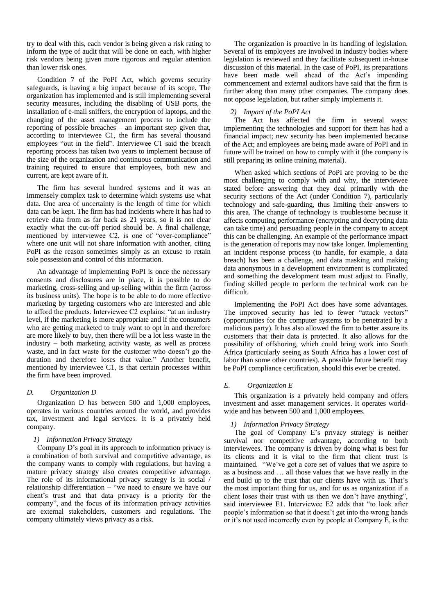try to deal with this, each vendor is being given a risk rating to inform the type of audit that will be done on each, with higher risk vendors being given more rigorous and regular attention than lower risk ones.

Condition 7 of the PoPI Act, which governs security safeguards, is having a big impact because of its scope. The organization has implemented and is still implementing several security measures, including the disabling of USB ports, the installation of e-mail sniffers, the encryption of laptops, and the changing of the asset management process to include the reporting of possible breaches – an important step given that, according to interviewee C1, the firm has several thousand employees "out in the field". Interviewee C1 said the breach reporting process has taken two years to implement because of the size of the organization and continuous communication and training required to ensure that employees, both new and current, are kept aware of it.

The firm has several hundred systems and it was an immensely complex task to determine which systems use what data. One area of uncertainty is the length of time for which data can be kept. The firm has had incidents where it has had to retrieve data from as far back as 21 years, so it is not clear exactly what the cut-off period should be. A final challenge, mentioned by interviewee C2, is one of "over-compliance" where one unit will not share information with another, citing PoPI as the reason sometimes simply as an excuse to retain sole possession and control of this information.

An advantage of implementing PoPI is once the necessary consents and disclosures are in place, it is possible to do marketing, cross-selling and up-selling within the firm (across its business units). The hope is to be able to do more effective marketing by targeting customers who are interested and able to afford the products. Interviewee C2 explains: "at an industry level, if the marketing is more appropriate and if the consumers who are getting marketed to truly want to opt in and therefore are more likely to buy, then there will be a lot less waste in the industry – both marketing activity waste, as well as process waste, and in fact waste for the customer who doesn't go the duration and therefore loses that value." Another benefit, mentioned by interviewee C1, is that certain processes within the firm have been improved.

## *D. Organization D*

Organization D has between 500 and 1,000 employees, operates in various countries around the world, and provides tax, investment and legal services. It is a privately held company.

## *1) Information Privacy Strategy*

Company D's goal in its approach to information privacy is a combination of both survival and competitive advantage, as the company wants to comply with regulations, but having a mature privacy strategy also creates competitive advantage. The role of its informational privacy strategy is in social / relationship differentiation – "we need to ensure we have our client's trust and that data privacy is a priority for the company", and the focus of its information privacy activities are external stakeholders, customers and regulations. The company ultimately views privacy as a risk.

The organization is proactive in its handling of legislation. Several of its employees are involved in industry bodies where legislation is reviewed and they facilitate subsequent in-house discussion of this material. In the case of PoPI, its preparations have been made well ahead of the Act's impending commencement and external auditors have said that the firm is further along than many other companies. The company does not oppose legislation, but rather simply implements it.

## *2) Impact of the PoPI Act*

The Act has affected the firm in several ways: implementing the technologies and support for them has had a financial impact; new security has been implemented because of the Act; and employees are being made aware of PoPI and in future will be trained on how to comply with it (the company is still preparing its online training material).

When asked which sections of PoPI are proving to be the most challenging to comply with and why, the interviewee stated before answering that they deal primarily with the security sections of the Act (under Condition 7), particularly technology and safe-guarding, thus limiting their answers to this area. The change of technology is troublesome because it affects computing performance (encrypting and decrypting data can take time) and persuading people in the company to accept this can be challenging. An example of the performance impact is the generation of reports may now take longer. Implementing an incident response process (to handle, for example, a data breach) has been a challenge, and data masking and making data anonymous in a development environment is complicated and something the development team must adjust to. Finally, finding skilled people to perform the technical work can be difficult.

Implementing the PoPI Act does have some advantages. The improved security has led to fewer "attack vectors" (opportunities for the computer systems to be penetrated by a malicious party). It has also allowed the firm to better assure its customers that their data is protected. It also allows for the possibility of offshoring, which could bring work into South Africa (particularly seeing as South Africa has a lower cost of labor than some other countries). A possible future benefit may be PoPI compliance certification, should this ever be created.

#### *E. Organization E*

This organization is a privately held company and offers investment and asset management services. It operates worldwide and has between 500 and 1,000 employees.

#### *1) Information Privacy Strategy*

The goal of Company E's privacy strategy is neither survival nor competitive advantage, according to both interviewees. The company is driven by doing what is best for its clients and it is vital to the firm that client trust is maintained. "We've got a core set of values that we aspire to as a business and … all those values that we have really in the end build up to the trust that our clients have with us. That's the most important thing for us, and for us as organization if a client loses their trust with us then we don't have anything", said interviewee E1. Interviewee E2 adds that "to look after people's information so that it doesn't get into the wrong hands or it's not used incorrectly even by people at Company E, is the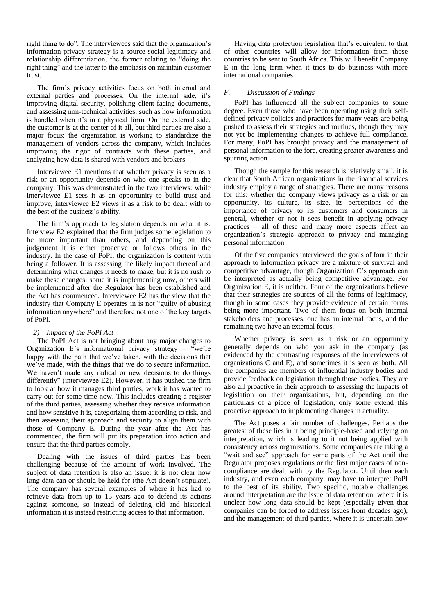right thing to do". The interviewees said that the organization's information privacy strategy is a source social legitimacy and relationship differentiation, the former relating to "doing the right thing" and the latter to the emphasis on maintain customer trust.

The firm's privacy activities focus on both internal and external parties and processes. On the internal side, it's improving digital security, polishing client-facing documents, and assessing non-technical activities, such as how information is handled when it's in a physical form. On the external side, the customer is at the center of it all, but third parties are also a major focus: the organization is working to standardize the management of vendors across the company, which includes improving the rigor of contracts with these parties, and analyzing how data is shared with vendors and brokers.

Interviewee E1 mentions that whether privacy is seen as a risk or an opportunity depends on who one speaks to in the company. This was demonstrated in the two interviews: while interviewee E1 sees it as an opportunity to build trust and improve, interviewee E2 views it as a risk to be dealt with to the best of the business's ability.

The firm's approach to legislation depends on what it is. Interview E2 explained that the firm judges some legislation to be more important than others, and depending on this judgement it is either proactive or follows others in the industry. In the case of PoPI, the organization is content with being a follower. It is assessing the likely impact thereof and determining what changes it needs to make, but it is no rush to make these changes: some it is implementing now, others will be implemented after the Regulator has been established and the Act has commenced. Interviewee E2 has the view that the industry that Company E operates in is not "guilty of abusing information anywhere" and therefore not one of the key targets of PoPI.

## *2) Impact of the PoPI Act*

The PoPI Act is not bringing about any major changes to Organization E's informational privacy strategy – "we're happy with the path that we've taken, with the decisions that we've made, with the things that we do to secure information. We haven't made any radical or new decisions to do things differently" (interviewee E2). However, it has pushed the firm to look at how it manages third parties, work it has wanted to carry out for some time now. This includes creating a register of the third parties, assessing whether they receive information and how sensitive it is, categorizing them according to risk, and then assessing their approach and security to align them with those of Company E. During the year after the Act has commenced, the firm will put its preparation into action and ensure that the third parties comply.

Dealing with the issues of third parties has been challenging because of the amount of work involved. The subject of data retention is also an issue: it is not clear how long data can or should be held for (the Act doesn't stipulate). The company has several examples of where it has had to retrieve data from up to 15 years ago to defend its actions against someone, so instead of deleting old and historical information it is instead restricting access to that information.

Having data protection legislation that's equivalent to that of other countries will allow for information from those countries to be sent to South Africa. This will benefit Company E in the long term when it tries to do business with more international companies.

## *F. Discussion of Findings*

PoPI has influenced all the subject companies to some degree. Even those who have been operating using their selfdefined privacy policies and practices for many years are being pushed to assess their strategies and routines, though they may not yet be implementing changes to achieve full compliance. For many, PoPI has brought privacy and the management of personal information to the fore, creating greater awareness and spurring action.

Though the sample for this research is relatively small, it is clear that South African organizations in the financial services industry employ a range of strategies. There are many reasons for this: whether the company views privacy as a risk or an opportunity, its culture, its size, its perceptions of the importance of privacy to its customers and consumers in general, whether or not it sees benefit in applying privacy practices – all of these and many more aspects affect an organization's strategic approach to privacy and managing personal information.

Of the five companies interviewed, the goals of four in their approach to information privacy are a mixture of survival and competitive advantage, though Organization C's approach can be interpreted as actually being competitive advantage. For Organization E, it is neither. Four of the organizations believe that their strategies are sources of all the forms of legitimacy, though in some cases they provide evidence of certain forms being more important. Two of them focus on both internal stakeholders and processes, one has an internal focus, and the remaining two have an external focus.

Whether privacy is seen as a risk or an opportunity generally depends on who you ask in the company (as evidenced by the contrasting responses of the interviewees of organizations C and E), and sometimes it is seen as both. All the companies are members of influential industry bodies and provide feedback on legislation through those bodies. They are also all proactive in their approach to assessing the impacts of legislation on their organizations, but, depending on the particulars of a piece of legislation, only some extend this proactive approach to implementing changes in actuality.

The Act poses a fair number of challenges. Perhaps the greatest of these lies in it being principle-based and relying on interpretation, which is leading to it not being applied with consistency across organizations. Some companies are taking a "wait and see" approach for some parts of the Act until the Regulator proposes regulations or the first major cases of noncompliance are dealt with by the Regulator. Until then each industry, and even each company, may have to interpret PoPI to the best of its ability. Two specific, notable challenges around interpretation are the issue of data retention, where it is unclear how long data should be kept (especially given that companies can be forced to address issues from decades ago), and the management of third parties, where it is uncertain how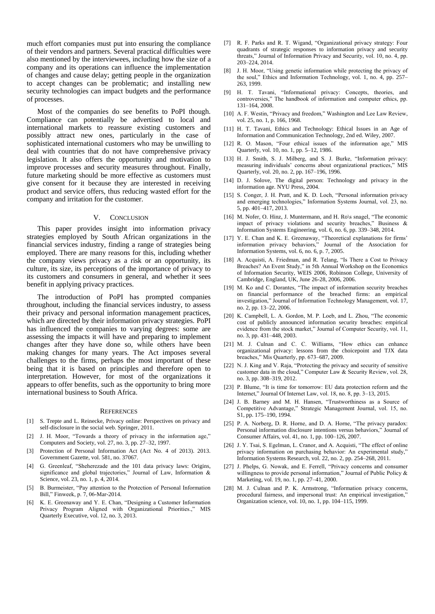much effort companies must put into ensuring the compliance of their vendors and partners. Several practical difficulties were also mentioned by the interviewees, including how the size of a company and its operations can influence the implementation of changes and cause delay; getting people in the organization to accept changes can be problematic; and installing new security technologies can impact budgets and the performance of processes.

Most of the companies do see benefits to PoPI though. Compliance can potentially be advertised to local and international markets to reassure existing customers and possibly attract new ones, particularly in the case of sophisticated international customers who may be unwilling to deal with countries that do not have comprehensive privacy legislation. It also offers the opportunity and motivation to improve processes and security measures throughout. Finally, future marketing should be more effective as customers must give consent for it because they are interested in receiving product and service offers, thus reducing wasted effort for the company and irritation for the customer.

#### V. CONCLUSION

This paper provides insight into information privacy strategies employed by South African organizations in the financial services industry, finding a range of strategies being employed. There are many reasons for this, including whether the company views privacy as a risk or an opportunity, its culture, its size, its perceptions of the importance of privacy to its customers and consumers in general, and whether it sees benefit in applying privacy practices.

The introduction of PoPI has prompted companies throughout, including the financial services industry, to assess their privacy and personal information management practices, which are directed by their information privacy strategies. PoPI has influenced the companies to varying degrees: some are assessing the impacts it will have and preparing to implement changes after they have done so, while others have been making changes for many years. The Act imposes several challenges to the firms, perhaps the most important of these being that it is based on principles and therefore open to interpretation. However, for most of the organizations it appears to offer benefits, such as the opportunity to bring more international business to South Africa.

#### **REFERENCES**

- [1] S. Trepte and L. Reinecke, Privacy online: Perspectives on privacy and self-disclosure in the social web. Springer, 2011.
- [2] J. H. Moor, "Towards a theory of privacy in the information age," Computers and Society, vol. 27, no. 3, pp. 27–32, 1997.
- [3] Protection of Personal Information Act (Act No. 4 of 2013). 2013. Government Gazette, vol. 581, no. 37067.
- [4] G. Greenleaf, "Sheherezade and the 101 data privacy laws: Origins, significance and global trajectories," Journal of Law, Information & Science, vol. 23, no. 1, p. 4, 2014.
- [5] B. Burmeister, "Pay attention to the Protection of Personal Information Bill," Finweek, p. 7, 06-Mar-2014.
- [6] K. E. Greenaway and Y. E. Chan, "Designing a Customer Information Privacy Program Aligned with Organizational Priorities.," MIS Quarterly Executive, vol. 12, no. 3, 2013.
- [7] R. F. Parks and R. T. Wigand, "Organizational privacy strategy: Four quadrants of strategic responses to information privacy and security threats," Journal of Information Privacy and Security, vol. 10, no. 4, pp. 203–224, 2014.
- [8] J. H. Moor, "Using genetic information while protecting the privacy of the soul," Ethics and Information Technology, vol. 1, no. 4, pp. 257– 263, 1999.
- [9] H. T. Tavani, "Informational privacy: Concepts, theories, and controversies," The handbook of information and computer ethics, pp. 131–164, 2008.
- [10] A. F. Westin, "Privacy and freedom," Washington and Lee Law Review, vol. 25, no. 1, p. 166, 1968.
- [11] H. T. Tavani, Ethics and Technology: Ethical Issues in an Age of Information and Communication Technology, 2nd ed. Wiley, 2007.
- [12] R. O. Mason, "Four ethical issues of the information age," MIS Quarterly, vol. 10, no. 1, pp. 5–12, 1986.
- [13] H. J. Smith, S. J. Milberg, and S. J. Burke, "Information privacy: measuring individuals' concerns about organizational practices," MIS Quarterly, vol. 20, no. 2, pp. 167–196, 1996.
- [14] D. J. Solove, The digital person: Technology and privacy in the information age. NYU Press, 2004.
- [15] S. Conger, J. H. Pratt, and K. D. Loch, "Personal information privacy and emerging technologies," Information Systems Journal, vol. 23, no. 5, pp. 401–417, 2013.
- [16] M. Nofer, O. Hinz, J. Muntermann, and H. Ro\s snagel, "The economic impact of privacy violations and security breaches," Business & Information Systems Engineering, vol. 6, no. 6, pp. 339–348, 2014.
- [17] Y. E. Chan and K. E. Greenaway, "Theoretical explanations for firms' information privacy behaviors," Journal of the Association for Information Systems, vol. 6, no. 6, p. 7, 2005.
- [18] A. Acquisti, A. Friedman, and R. Telang, "Is There a Cost to Privacy Breaches? An Event Study," in 5th Annual Workshop on the Economics of Information Security, WEIS 2006, Robinson College, University of Cambridge, England, UK, June 26-28, 2006, 2006.
- [19] M. Ko and C. Dorantes, "The impact of information security breaches on financial performance of the breached firms: an empirical investigation," Journal of Information Technology Management, vol. 17, no. 2, pp. 13–22, 2006.
- [20] K. Campbell, L. A. Gordon, M. P. Loeb, and L. Zhou, "The economic cost of publicly announced information security breaches: empirical evidence from the stock market," Journal of Computer Security, vol. 11, no. 3, pp. 431–448, 2003.
- [21] M. J. Culnan and C. C. Williams, "How ethics can enhance organizational privacy: lessons from the choicepoint and TJX data breaches," Mis Quarterly, pp. 673–687, 2009.
- [22] N. J. King and V. Raja, "Protecting the privacy and security of sensitive customer data in the cloud," Computer Law & Security Review, vol. 28, no. 3, pp. 308–319, 2012.
- [23] P. Blume, "It is time for tomorrow: EU data protection reform and the Internet," Journal Of Internet Law, vol. 18, no. 8, pp. 3–13, 2015.
- [24] J. B. Barney and M. H. Hansen, "Trustworthiness as a Source of Competitive Advantage," Strategic Management Journal, vol. 15, no. S1, pp. 175–190, 1994.
- [25] P. A. Norberg, D. R. Horne, and D. A. Horne, "The privacy paradox: Personal information disclosure intentions versus behaviors," Journal of Consumer Affairs, vol. 41, no. 1, pp. 100–126, 2007.
- [26] J. Y. Tsai, S. Egelman, L. Cranor, and A. Acquisti, "The effect of online privacy information on purchasing behavior: An experimental study," Information Systems Research, vol. 22, no. 2, pp. 254–268, 2011.
- [27] J. Phelps, G. Nowak, and E. Ferrell, "Privacy concerns and consumer willingness to provide personal information," Journal of Public Policy & Marketing, vol. 19, no. 1, pp. 27–41, 2000.
- [28] M. J. Culnan and P. K. Armstrong, "Information privacy concerns, procedural fairness, and impersonal trust: An empirical investigation," Organization science, vol. 10, no. 1, pp. 104–115, 1999.